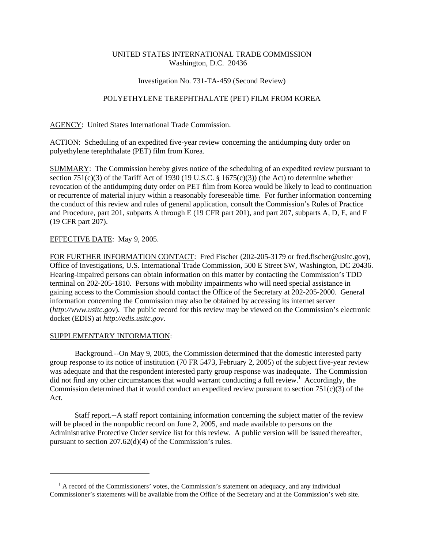# UNITED STATES INTERNATIONAL TRADE COMMISSION Washington, D.C. 20436

#### Investigation No. 731-TA-459 (Second Review)

# POLYETHYLENE TEREPHTHALATE (PET) FILM FROM KOREA

AGENCY: United States International Trade Commission.

ACTION: Scheduling of an expedited five-year review concerning the antidumping duty order on polyethylene terephthalate (PET) film from Korea.

SUMMARY: The Commission hereby gives notice of the scheduling of an expedited review pursuant to section 751(c)(3) of the Tariff Act of 1930 (19 U.S.C. § 1675(c)(3)) (the Act) to determine whether revocation of the antidumping duty order on PET film from Korea would be likely to lead to continuation or recurrence of material injury within a reasonably foreseeable time. For further information concerning the conduct of this review and rules of general application, consult the Commission's Rules of Practice and Procedure, part 201, subparts A through E (19 CFR part 201), and part 207, subparts A, D, E, and F (19 CFR part 207).

### EFFECTIVE DATE: May 9, 2005.

FOR FURTHER INFORMATION CONTACT: Fred Fischer (202-205-3179 or fred.fischer@usitc.gov), Office of Investigations, U.S. International Trade Commission, 500 E Street SW, Washington, DC 20436. Hearing-impaired persons can obtain information on this matter by contacting the Commission's TDD terminal on 202-205-1810. Persons with mobility impairments who will need special assistance in gaining access to the Commission should contact the Office of the Secretary at 202-205-2000. General information concerning the Commission may also be obtained by accessing its internet server (*http://www.usitc.gov*). The public record for this review may be viewed on the Commission's electronic docket (EDIS) at *http://edis.usitc.gov*.

#### SUPPLEMENTARY INFORMATION:

Background.--On May 9, 2005, the Commission determined that the domestic interested party group response to its notice of institution (70 FR 5473, February 2, 2005) of the subject five-year review was adequate and that the respondent interested party group response was inadequate. The Commission did not find any other circumstances that would warrant conducting a full review.<sup>1</sup> Accordingly, the Commission determined that it would conduct an expedited review pursuant to section  $751(c)(3)$  of the Act.

Staff report.--A staff report containing information concerning the subject matter of the review will be placed in the nonpublic record on June 2, 2005, and made available to persons on the Administrative Protective Order service list for this review. A public version will be issued thereafter, pursuant to section 207.62(d)(4) of the Commission's rules.

<sup>&</sup>lt;sup>1</sup> A record of the Commissioners' votes, the Commission's statement on adequacy, and any individual Commissioner's statements will be available from the Office of the Secretary and at the Commission's web site.